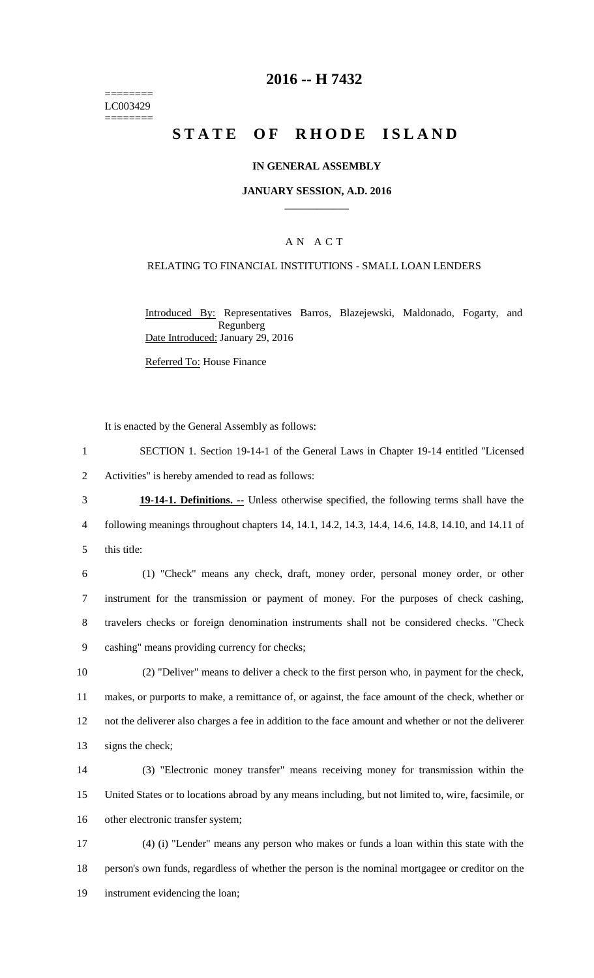======== LC003429 ========

## **2016 -- H 7432**

# STATE OF RHODE ISLAND

### **IN GENERAL ASSEMBLY**

#### **JANUARY SESSION, A.D. 2016 \_\_\_\_\_\_\_\_\_\_\_\_**

## A N A C T

### RELATING TO FINANCIAL INSTITUTIONS - SMALL LOAN LENDERS

Introduced By: Representatives Barros, Blazejewski, Maldonado, Fogarty, and Regunberg Date Introduced: January 29, 2016

Referred To: House Finance

It is enacted by the General Assembly as follows:

- 1 SECTION 1. Section 19-14-1 of the General Laws in Chapter 19-14 entitled "Licensed 2 Activities" is hereby amended to read as follows:
- 3 **19-14-1. Definitions. --** Unless otherwise specified, the following terms shall have the 4 following meanings throughout chapters 14, 14.1, 14.2, 14.3, 14.4, 14.6, 14.8, 14.10, and 14.11 of 5 this title:
- 6 (1) "Check" means any check, draft, money order, personal money order, or other 7 instrument for the transmission or payment of money. For the purposes of check cashing, 8 travelers checks or foreign denomination instruments shall not be considered checks. "Check
	- 9 cashing" means providing currency for checks;
	- 10 (2) "Deliver" means to deliver a check to the first person who, in payment for the check, 11 makes, or purports to make, a remittance of, or against, the face amount of the check, whether or 12 not the deliverer also charges a fee in addition to the face amount and whether or not the deliverer 13 signs the check;
	- 14 (3) "Electronic money transfer" means receiving money for transmission within the 15 United States or to locations abroad by any means including, but not limited to, wire, facsimile, or 16 other electronic transfer system;

17 (4) (i) "Lender" means any person who makes or funds a loan within this state with the 18 person's own funds, regardless of whether the person is the nominal mortgagee or creditor on the 19 instrument evidencing the loan;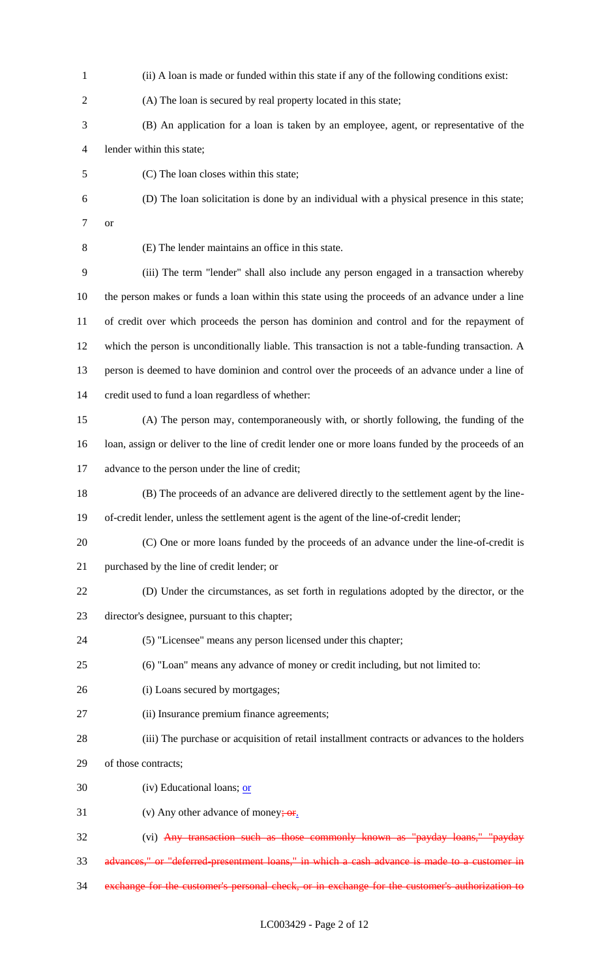(ii) A loan is made or funded within this state if any of the following conditions exist: (A) The loan is secured by real property located in this state; (B) An application for a loan is taken by an employee, agent, or representative of the lender within this state; (C) The loan closes within this state; (D) The loan solicitation is done by an individual with a physical presence in this state; or (E) The lender maintains an office in this state. (iii) The term "lender" shall also include any person engaged in a transaction whereby the person makes or funds a loan within this state using the proceeds of an advance under a line of credit over which proceeds the person has dominion and control and for the repayment of which the person is unconditionally liable. This transaction is not a table-funding transaction. A person is deemed to have dominion and control over the proceeds of an advance under a line of credit used to fund a loan regardless of whether: (A) The person may, contemporaneously with, or shortly following, the funding of the loan, assign or deliver to the line of credit lender one or more loans funded by the proceeds of an advance to the person under the line of credit; (B) The proceeds of an advance are delivered directly to the settlement agent by the line- of-credit lender, unless the settlement agent is the agent of the line-of-credit lender; (C) One or more loans funded by the proceeds of an advance under the line-of-credit is purchased by the line of credit lender; or (D) Under the circumstances, as set forth in regulations adopted by the director, or the director's designee, pursuant to this chapter; (5) "Licensee" means any person licensed under this chapter; (6) "Loan" means any advance of money or credit including, but not limited to: (i) Loans secured by mortgages; (ii) Insurance premium finance agreements; (iii) The purchase or acquisition of retail installment contracts or advances to the holders of those contracts; 30 (iv) Educational loans;  $or$ 31 (v) Any other advance of money;  $\sigma$ r. (vi) Any transaction such as those commonly known as "payday loans," "payday advances," or "deferred-presentment loans," in which a cash advance is made to a customer in exchange for the customer's personal check, or in exchange for the customer's authorization to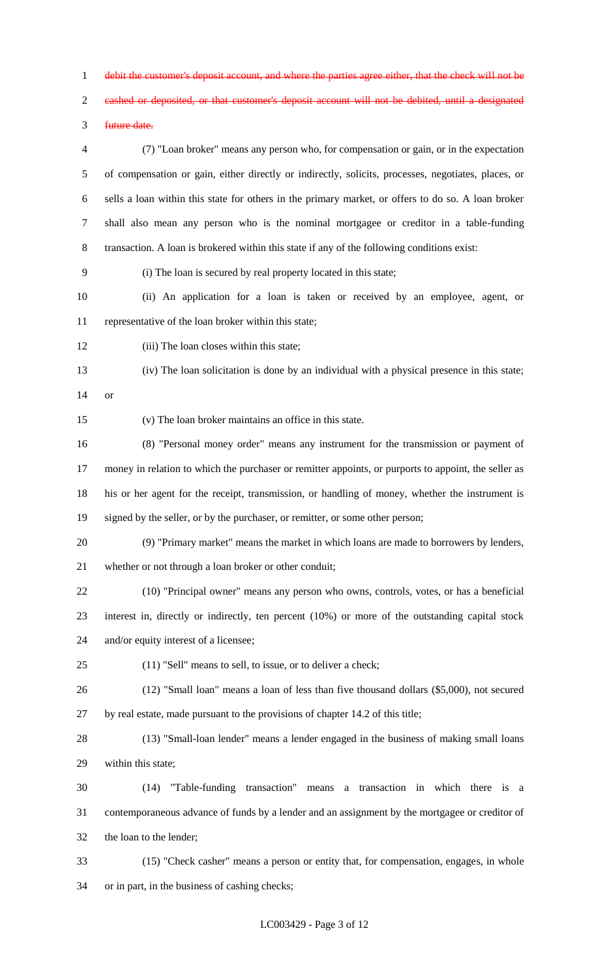debit the customer's deposit account, and where the parties agree either, that the check will not be

cashed or deposited, or that customer's deposit account will not be debited, until a designated

future date.

 (7) "Loan broker" means any person who, for compensation or gain, or in the expectation of compensation or gain, either directly or indirectly, solicits, processes, negotiates, places, or sells a loan within this state for others in the primary market, or offers to do so. A loan broker shall also mean any person who is the nominal mortgagee or creditor in a table-funding transaction. A loan is brokered within this state if any of the following conditions exist:

(i) The loan is secured by real property located in this state;

 (ii) An application for a loan is taken or received by an employee, agent, or representative of the loan broker within this state;

(iii) The loan closes within this state;

 (iv) The loan solicitation is done by an individual with a physical presence in this state; or

(v) The loan broker maintains an office in this state.

 (8) "Personal money order" means any instrument for the transmission or payment of money in relation to which the purchaser or remitter appoints, or purports to appoint, the seller as his or her agent for the receipt, transmission, or handling of money, whether the instrument is 19 signed by the seller, or by the purchaser, or remitter, or some other person;

 (9) "Primary market" means the market in which loans are made to borrowers by lenders, whether or not through a loan broker or other conduit;

 (10) "Principal owner" means any person who owns, controls, votes, or has a beneficial interest in, directly or indirectly, ten percent (10%) or more of the outstanding capital stock and/or equity interest of a licensee;

(11) "Sell" means to sell, to issue, or to deliver a check;

 (12) "Small loan" means a loan of less than five thousand dollars (\$5,000), not secured by real estate, made pursuant to the provisions of chapter 14.2 of this title;

 (13) "Small-loan lender" means a lender engaged in the business of making small loans within this state;

 (14) "Table-funding transaction" means a transaction in which there is a contemporaneous advance of funds by a lender and an assignment by the mortgagee or creditor of the loan to the lender;

 (15) "Check casher" means a person or entity that, for compensation, engages, in whole or in part, in the business of cashing checks;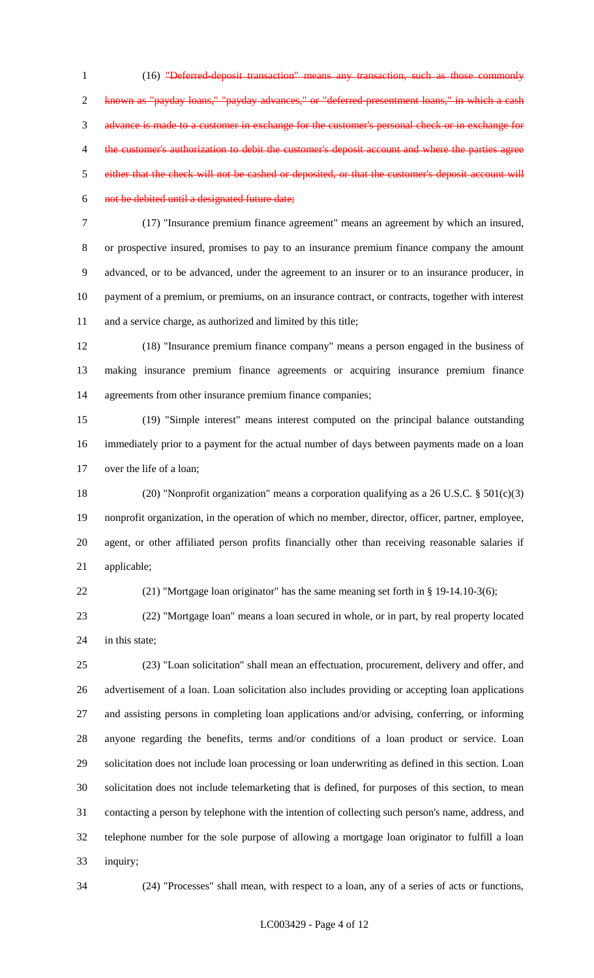(16) "Deferred-deposit transaction" means any transaction, such as those commonly known as "payday loans," "payday advances," or "deferred-presentment loans," in which a cash advance is made to a customer in exchange for the customer's personal check or in exchange for 4 the customer's authorization to debit the customer's deposit account and where the parties agree either that the check will not be cashed or deposited, or that the customer's deposit account will not be debited until a designated future date;

 (17) "Insurance premium finance agreement" means an agreement by which an insured, or prospective insured, promises to pay to an insurance premium finance company the amount advanced, or to be advanced, under the agreement to an insurer or to an insurance producer, in payment of a premium, or premiums, on an insurance contract, or contracts, together with interest and a service charge, as authorized and limited by this title;

 (18) "Insurance premium finance company" means a person engaged in the business of making insurance premium finance agreements or acquiring insurance premium finance agreements from other insurance premium finance companies;

 (19) "Simple interest" means interest computed on the principal balance outstanding immediately prior to a payment for the actual number of days between payments made on a loan over the life of a loan;

 (20) "Nonprofit organization" means a corporation qualifying as a 26 U.S.C. § 501(c)(3) nonprofit organization, in the operation of which no member, director, officer, partner, employee, agent, or other affiliated person profits financially other than receiving reasonable salaries if applicable;

(21) "Mortgage loan originator" has the same meaning set forth in § 19-14.10-3(6);

 (22) "Mortgage loan" means a loan secured in whole, or in part, by real property located 24 in this state:

 (23) "Loan solicitation" shall mean an effectuation, procurement, delivery and offer, and advertisement of a loan. Loan solicitation also includes providing or accepting loan applications and assisting persons in completing loan applications and/or advising, conferring, or informing anyone regarding the benefits, terms and/or conditions of a loan product or service. Loan solicitation does not include loan processing or loan underwriting as defined in this section. Loan solicitation does not include telemarketing that is defined, for purposes of this section, to mean contacting a person by telephone with the intention of collecting such person's name, address, and telephone number for the sole purpose of allowing a mortgage loan originator to fulfill a loan inquiry;

(24) "Processes" shall mean, with respect to a loan, any of a series of acts or functions,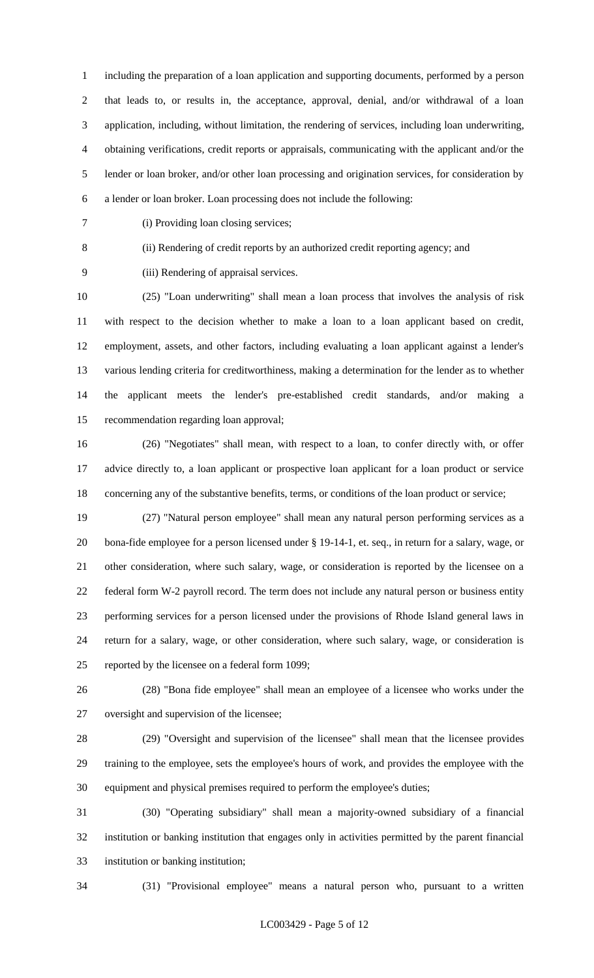including the preparation of a loan application and supporting documents, performed by a person that leads to, or results in, the acceptance, approval, denial, and/or withdrawal of a loan application, including, without limitation, the rendering of services, including loan underwriting, obtaining verifications, credit reports or appraisals, communicating with the applicant and/or the lender or loan broker, and/or other loan processing and origination services, for consideration by a lender or loan broker. Loan processing does not include the following:

(i) Providing loan closing services;

(ii) Rendering of credit reports by an authorized credit reporting agency; and

(iii) Rendering of appraisal services.

 (25) "Loan underwriting" shall mean a loan process that involves the analysis of risk with respect to the decision whether to make a loan to a loan applicant based on credit, employment, assets, and other factors, including evaluating a loan applicant against a lender's various lending criteria for creditworthiness, making a determination for the lender as to whether the applicant meets the lender's pre-established credit standards, and/or making a recommendation regarding loan approval;

 (26) "Negotiates" shall mean, with respect to a loan, to confer directly with, or offer advice directly to, a loan applicant or prospective loan applicant for a loan product or service concerning any of the substantive benefits, terms, or conditions of the loan product or service;

 (27) "Natural person employee" shall mean any natural person performing services as a bona-fide employee for a person licensed under § 19-14-1, et. seq., in return for a salary, wage, or other consideration, where such salary, wage, or consideration is reported by the licensee on a federal form W-2 payroll record. The term does not include any natural person or business entity performing services for a person licensed under the provisions of Rhode Island general laws in return for a salary, wage, or other consideration, where such salary, wage, or consideration is reported by the licensee on a federal form 1099;

 (28) "Bona fide employee" shall mean an employee of a licensee who works under the oversight and supervision of the licensee;

 (29) "Oversight and supervision of the licensee" shall mean that the licensee provides training to the employee, sets the employee's hours of work, and provides the employee with the equipment and physical premises required to perform the employee's duties;

 (30) "Operating subsidiary" shall mean a majority-owned subsidiary of a financial institution or banking institution that engages only in activities permitted by the parent financial institution or banking institution;

(31) "Provisional employee" means a natural person who, pursuant to a written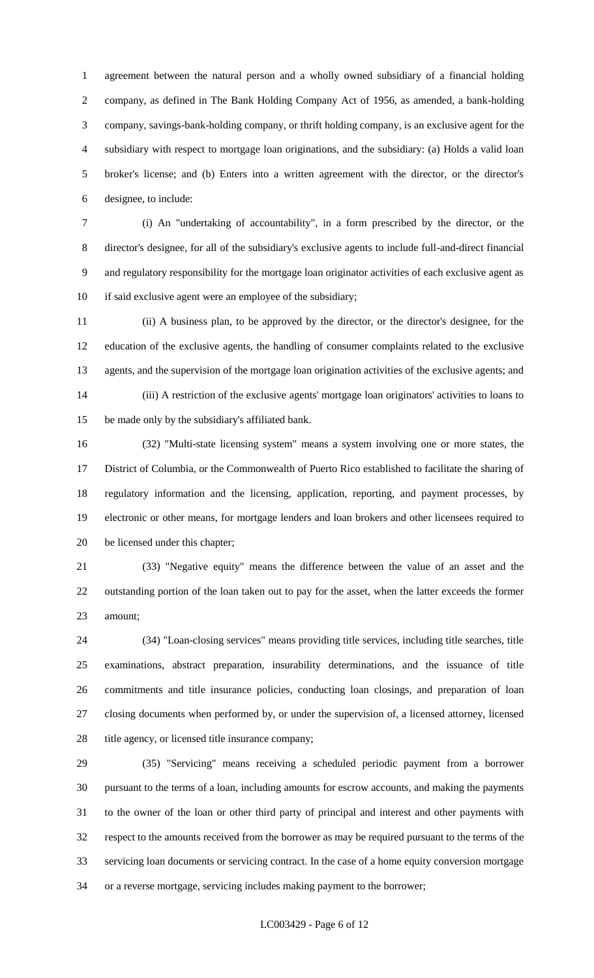agreement between the natural person and a wholly owned subsidiary of a financial holding company, as defined in The Bank Holding Company Act of 1956, as amended, a bank-holding company, savings-bank-holding company, or thrift holding company, is an exclusive agent for the subsidiary with respect to mortgage loan originations, and the subsidiary: (a) Holds a valid loan broker's license; and (b) Enters into a written agreement with the director, or the director's designee, to include:

 (i) An "undertaking of accountability", in a form prescribed by the director, or the director's designee, for all of the subsidiary's exclusive agents to include full-and-direct financial and regulatory responsibility for the mortgage loan originator activities of each exclusive agent as 10 if said exclusive agent were an employee of the subsidiary;

 (ii) A business plan, to be approved by the director, or the director's designee, for the education of the exclusive agents, the handling of consumer complaints related to the exclusive agents, and the supervision of the mortgage loan origination activities of the exclusive agents; and (iii) A restriction of the exclusive agents' mortgage loan originators' activities to loans to be made only by the subsidiary's affiliated bank.

 (32) "Multi-state licensing system" means a system involving one or more states, the District of Columbia, or the Commonwealth of Puerto Rico established to facilitate the sharing of regulatory information and the licensing, application, reporting, and payment processes, by electronic or other means, for mortgage lenders and loan brokers and other licensees required to be licensed under this chapter;

 (33) "Negative equity" means the difference between the value of an asset and the outstanding portion of the loan taken out to pay for the asset, when the latter exceeds the former amount;

 (34) "Loan-closing services" means providing title services, including title searches, title examinations, abstract preparation, insurability determinations, and the issuance of title commitments and title insurance policies, conducting loan closings, and preparation of loan closing documents when performed by, or under the supervision of, a licensed attorney, licensed 28 title agency, or licensed title insurance company;

 (35) "Servicing" means receiving a scheduled periodic payment from a borrower pursuant to the terms of a loan, including amounts for escrow accounts, and making the payments to the owner of the loan or other third party of principal and interest and other payments with respect to the amounts received from the borrower as may be required pursuant to the terms of the servicing loan documents or servicing contract. In the case of a home equity conversion mortgage or a reverse mortgage, servicing includes making payment to the borrower;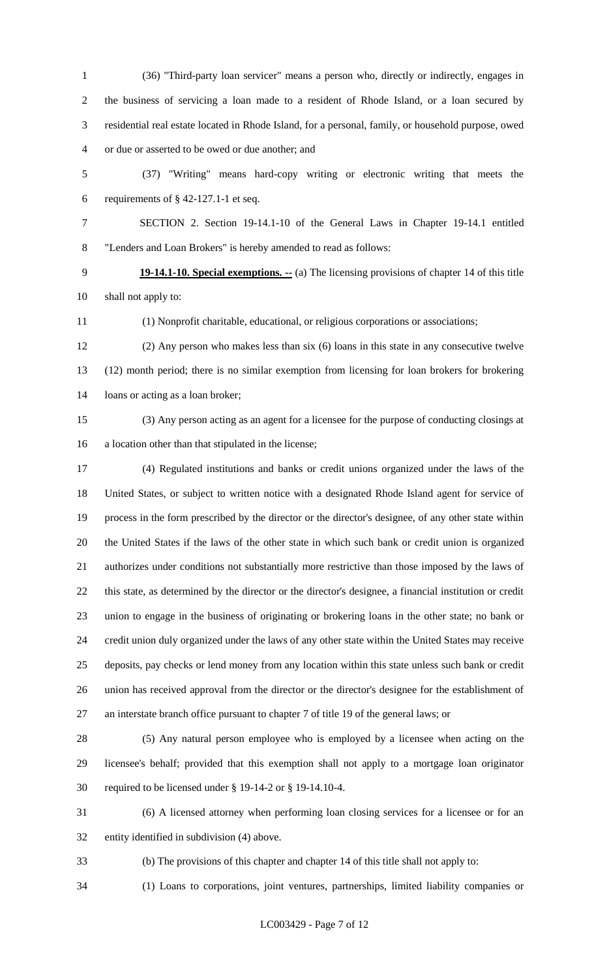(36) "Third-party loan servicer" means a person who, directly or indirectly, engages in the business of servicing a loan made to a resident of Rhode Island, or a loan secured by residential real estate located in Rhode Island, for a personal, family, or household purpose, owed or due or asserted to be owed or due another; and

 (37) "Writing" means hard-copy writing or electronic writing that meets the 6 requirements of  $\S$  42-127.1-1 et seq.

- SECTION 2. Section 19-14.1-10 of the General Laws in Chapter 19-14.1 entitled "Lenders and Loan Brokers" is hereby amended to read as follows:
- **19-14.1-10. Special exemptions. --** (a) The licensing provisions of chapter 14 of this title shall not apply to:
- (1) Nonprofit charitable, educational, or religious corporations or associations;
- (2) Any person who makes less than six (6) loans in this state in any consecutive twelve (12) month period; there is no similar exemption from licensing for loan brokers for brokering loans or acting as a loan broker;
- 

 (3) Any person acting as an agent for a licensee for the purpose of conducting closings at a location other than that stipulated in the license;

- (4) Regulated institutions and banks or credit unions organized under the laws of the United States, or subject to written notice with a designated Rhode Island agent for service of process in the form prescribed by the director or the director's designee, of any other state within the United States if the laws of the other state in which such bank or credit union is organized authorizes under conditions not substantially more restrictive than those imposed by the laws of this state, as determined by the director or the director's designee, a financial institution or credit union to engage in the business of originating or brokering loans in the other state; no bank or credit union duly organized under the laws of any other state within the United States may receive deposits, pay checks or lend money from any location within this state unless such bank or credit union has received approval from the director or the director's designee for the establishment of an interstate branch office pursuant to chapter 7 of title 19 of the general laws; or
- 

 (5) Any natural person employee who is employed by a licensee when acting on the licensee's behalf; provided that this exemption shall not apply to a mortgage loan originator required to be licensed under § 19-14-2 or § 19-14.10-4.

 (6) A licensed attorney when performing loan closing services for a licensee or for an entity identified in subdivision (4) above.

(b) The provisions of this chapter and chapter 14 of this title shall not apply to:

(1) Loans to corporations, joint ventures, partnerships, limited liability companies or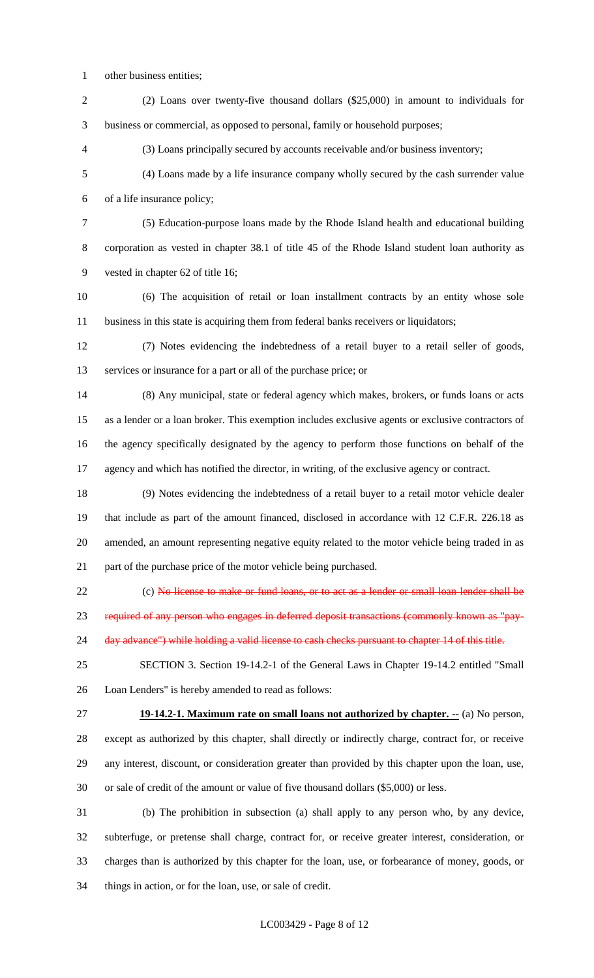- other business entities;
- (2) Loans over twenty-five thousand dollars (\$25,000) in amount to individuals for business or commercial, as opposed to personal, family or household purposes;

(3) Loans principally secured by accounts receivable and/or business inventory;

 (4) Loans made by a life insurance company wholly secured by the cash surrender value of a life insurance policy;

 (5) Education-purpose loans made by the Rhode Island health and educational building corporation as vested in chapter 38.1 of title 45 of the Rhode Island student loan authority as vested in chapter 62 of title 16;

 (6) The acquisition of retail or loan installment contracts by an entity whose sole business in this state is acquiring them from federal banks receivers or liquidators;

 (7) Notes evidencing the indebtedness of a retail buyer to a retail seller of goods, services or insurance for a part or all of the purchase price; or

 (8) Any municipal, state or federal agency which makes, brokers, or funds loans or acts as a lender or a loan broker. This exemption includes exclusive agents or exclusive contractors of the agency specifically designated by the agency to perform those functions on behalf of the agency and which has notified the director, in writing, of the exclusive agency or contract.

 (9) Notes evidencing the indebtedness of a retail buyer to a retail motor vehicle dealer that include as part of the amount financed, disclosed in accordance with 12 C.F.R. 226.18 as amended, an amount representing negative equity related to the motor vehicle being traded in as part of the purchase price of the motor vehicle being purchased.

22 (c) No license to make or fund loans, or to act as a lender or small loan lender shall be

required of any person who engages in deferred deposit transactions (commonly known as "pay-

24 day advance") while holding a valid license to cash checks pursuant to chapter 14 of this title.

 SECTION 3. Section 19-14.2-1 of the General Laws in Chapter 19-14.2 entitled "Small Loan Lenders" is hereby amended to read as follows:

**19-14.2-1. Maximum rate on small loans not authorized by chapter. --** (a) No person,

 except as authorized by this chapter, shall directly or indirectly charge, contract for, or receive any interest, discount, or consideration greater than provided by this chapter upon the loan, use, or sale of credit of the amount or value of five thousand dollars (\$5,000) or less.

 (b) The prohibition in subsection (a) shall apply to any person who, by any device, subterfuge, or pretense shall charge, contract for, or receive greater interest, consideration, or charges than is authorized by this chapter for the loan, use, or forbearance of money, goods, or things in action, or for the loan, use, or sale of credit.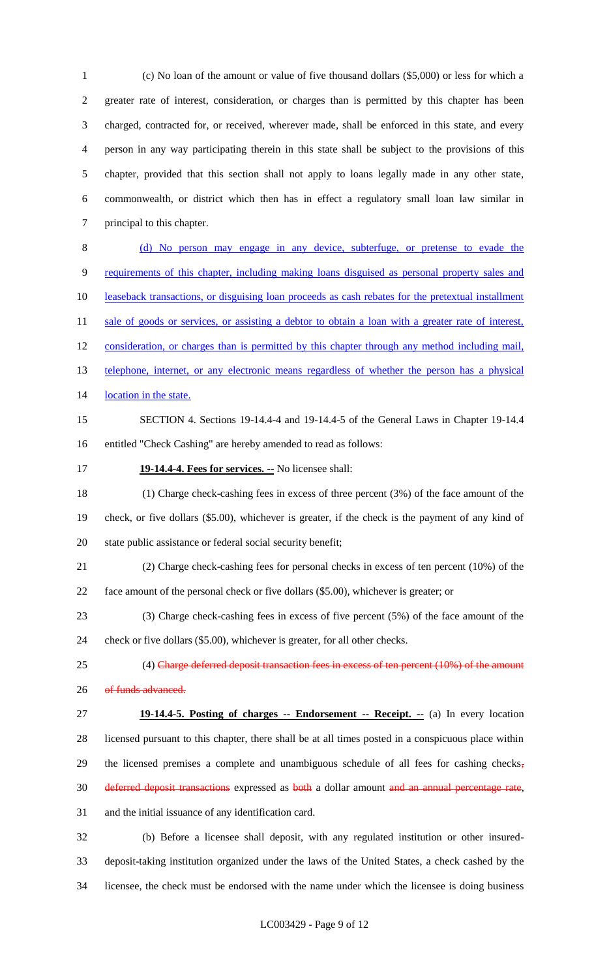(c) No loan of the amount or value of five thousand dollars (\$5,000) or less for which a greater rate of interest, consideration, or charges than is permitted by this chapter has been charged, contracted for, or received, wherever made, shall be enforced in this state, and every person in any way participating therein in this state shall be subject to the provisions of this chapter, provided that this section shall not apply to loans legally made in any other state, commonwealth, or district which then has in effect a regulatory small loan law similar in principal to this chapter.

 (d) No person may engage in any device, subterfuge, or pretense to evade the requirements of this chapter, including making loans disguised as personal property sales and leaseback transactions, or disguising loan proceeds as cash rebates for the pretextual installment 11 sale of goods or services, or assisting a debtor to obtain a loan with a greater rate of interest, 12 consideration, or charges than is permitted by this chapter through any method including mail, 13 telephone, internet, or any electronic means regardless of whether the person has a physical 14 location in the state.

- SECTION 4. Sections 19-14.4-4 and 19-14.4-5 of the General Laws in Chapter 19-14.4 entitled "Check Cashing" are hereby amended to read as follows:
- 

### **19-14.4-4. Fees for services. --** No licensee shall:

 (1) Charge check-cashing fees in excess of three percent (3%) of the face amount of the check, or five dollars (\$5.00), whichever is greater, if the check is the payment of any kind of state public assistance or federal social security benefit;

- (2) Charge check-cashing fees for personal checks in excess of ten percent (10%) of the face amount of the personal check or five dollars (\$5.00), whichever is greater; or
- (3) Charge check-cashing fees in excess of five percent (5%) of the face amount of the

check or five dollars (\$5.00), whichever is greater, for all other checks.

- 25 (4) Charge deferred deposit transaction fees in excess of ten percent (10%) of the amount 26 of funds advanced.
- **19-14.4-5. Posting of charges -- Endorsement -- Receipt. --** (a) In every location licensed pursuant to this chapter, there shall be at all times posted in a conspicuous place within 29 the licensed premises a complete and unambiguous schedule of all fees for cashing checks, 30 deferred deposit transactions expressed as both a dollar amount and an annual percentage rate, and the initial issuance of any identification card.

 (b) Before a licensee shall deposit, with any regulated institution or other insured- deposit-taking institution organized under the laws of the United States, a check cashed by the licensee, the check must be endorsed with the name under which the licensee is doing business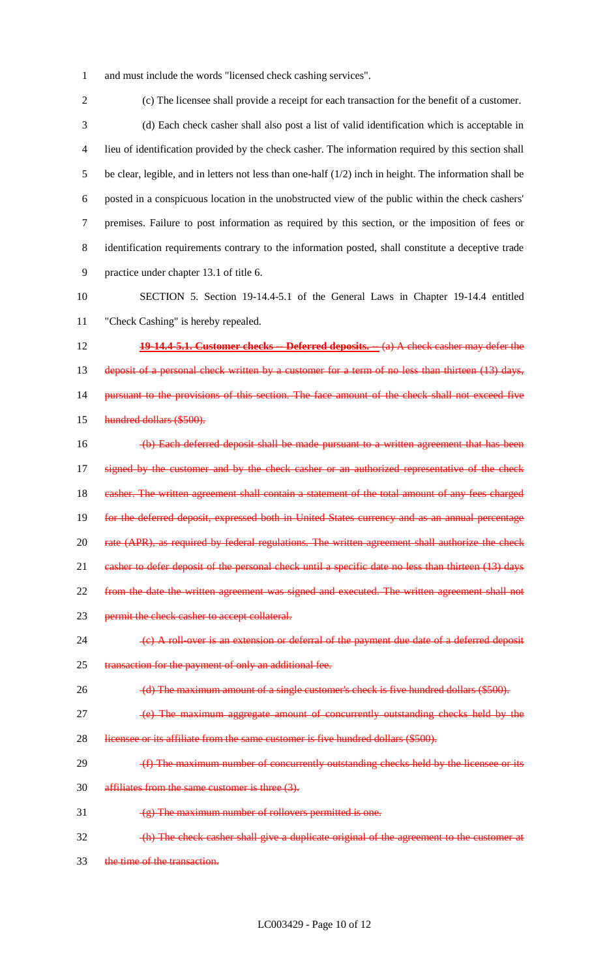1 and must include the words "licensed check cashing services".

2 (c) The licensee shall provide a receipt for each transaction for the benefit of a customer. 3 (d) Each check casher shall also post a list of valid identification which is acceptable in 4 lieu of identification provided by the check casher. The information required by this section shall 5 be clear, legible, and in letters not less than one-half (1/2) inch in height. The information shall be 6 posted in a conspicuous location in the unobstructed view of the public within the check cashers' 7 premises. Failure to post information as required by this section, or the imposition of fees or 8 identification requirements contrary to the information posted, shall constitute a deceptive trade 9 practice under chapter 13.1 of title 6. 10 SECTION 5. Section 19-14.4-5.1 of the General Laws in Chapter 19-14.4 entitled 11 "Check Cashing" is hereby repealed. 12 **19-14.4-5.1. Customer checks -- Deferred deposits. --** (a) A check casher may defer the 13 deposit of a personal check written by a customer for a term of no less than thirteen (13) days, 14 pursuant to the provisions of this section. The face amount of the check shall not exceed five 15 hundred dollars (\$500). 16 (b) Each deferred deposit shall be made pursuant to a written agreement that has been 17 signed by the customer and by the check casher or an authorized representative of the check 18 casher. The written agreement shall contain a statement of the total amount of any fees charged 19 for the deferred deposit, expressed both in United States currency and as an annual percentage 20 rate (APR), as required by federal regulations. The written agreement shall authorize the check 21 casher to defer deposit of the personal check until a specific date no less than thirteen (13) days 22 from the date the written agreement was signed and executed. The written agreement shall not 23 permit the check casher to accept collateral. 24 (c) A roll-over is an extension or deferral of the payment due date of a deferred deposit 25 transaction for the payment of only an additional fee. 26 (d) The maximum amount of a single customer's check is five hundred dollars (\$500). 27 **(a)** The maximum aggregate amount of concurrently outstanding checks held by the 28 licensee or its affiliate from the same customer is five hundred dollars (\$500). 29 (f) The maximum number of concurrently outstanding checks held by the licensee or its 30 affiliates from the same customer is three (3). 31  $(g)$  The maximum number of rollovers permitted is one. 32 (h) The check casher shall give a duplicate original of the agreement to the customer at 33 the time of the transaction.

LC003429 - Page 10 of 12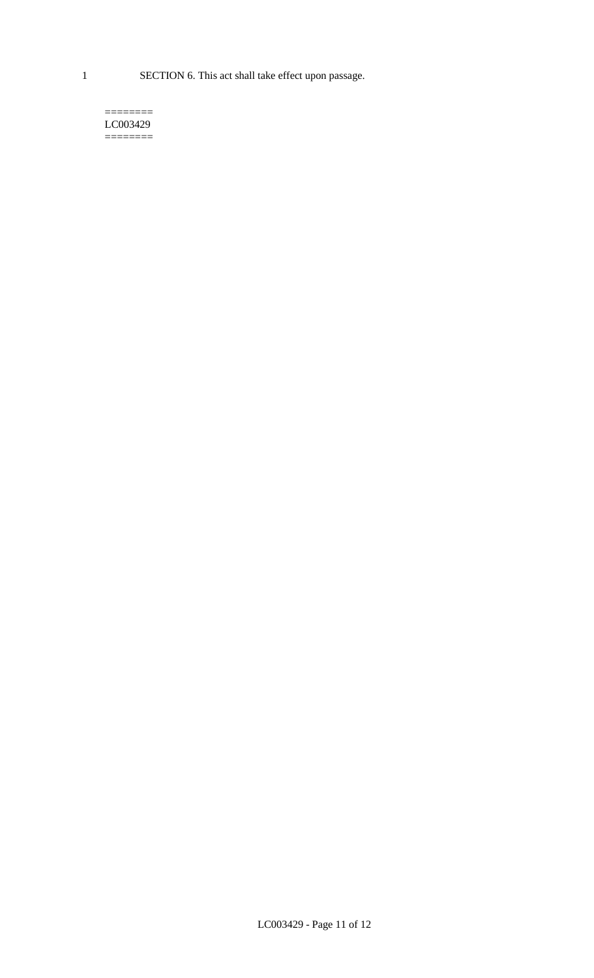1 SECTION 6. This act shall take effect upon passage.

#### $=$ LC003429  $=$